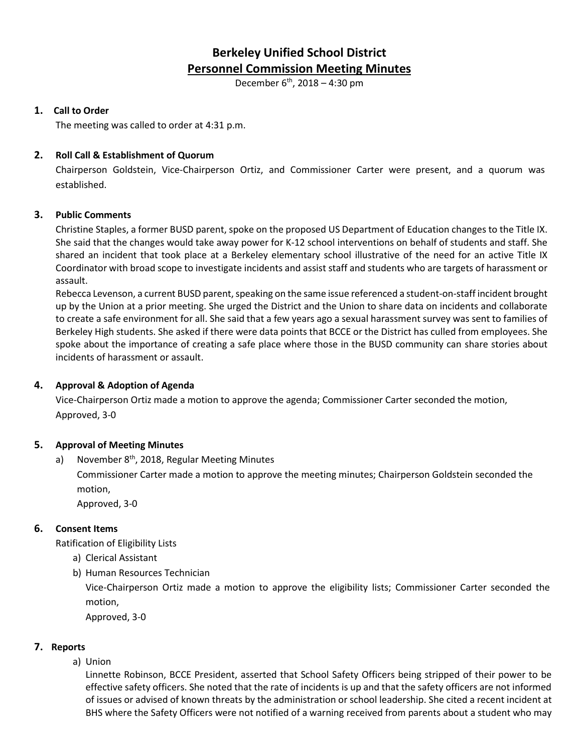# **Berkeley Unified School District Personnel Commission Meeting Minutes**

December  $6^{th}$ , 2018 – 4:30 pm

# **1. Call to Order**

The meeting was called to order at 4:31 p.m.

# **2. Roll Call & Establishment of Quorum**

Chairperson Goldstein, Vice-Chairperson Ortiz, and Commissioner Carter were present, and a quorum was established.

## **3. Public Comments**

Christine Staples, a former BUSD parent, spoke on the proposed US Department of Education changes to the Title IX. She said that the changes would take away power for K-12 school interventions on behalf of students and staff. She shared an incident that took place at a Berkeley elementary school illustrative of the need for an active Title IX Coordinator with broad scope to investigate incidents and assist staff and students who are targets of harassment or assault.

Rebecca Levenson, a current BUSD parent, speaking on the same issue referenced a student-on-staff incident brought up by the Union at a prior meeting. She urged the District and the Union to share data on incidents and collaborate to create a safe environment for all. She said that a few years ago a sexual harassment survey was sent to families of Berkeley High students. She asked if there were data points that BCCE or the District has culled from employees. She spoke about the importance of creating a safe place where those in the BUSD community can share stories about incidents of harassment or assault.

# **4. Approval & Adoption of Agenda**

Vice-Chairperson Ortiz made a motion to approve the agenda; Commissioner Carter seconded the motion, Approved, 3-0

## **5. Approval of Meeting Minutes**

a) November  $8<sup>th</sup>$ , 2018, Regular Meeting Minutes

Commissioner Carter made a motion to approve the meeting minutes; Chairperson Goldstein seconded the motion,

Approved, 3-0

## **6. Consent Items**

Ratification of Eligibility Lists

- a) Clerical Assistant
- b) Human Resources Technician

Vice-Chairperson Ortiz made a motion to approve the eligibility lists; Commissioner Carter seconded the motion,

Approved, 3-0

# **7. Reports**

a) Union

Linnette Robinson, BCCE President, asserted that School Safety Officers being stripped of their power to be effective safety officers. She noted that the rate of incidents is up and that the safety officers are not informed of issues or advised of known threats by the administration or school leadership. She cited a recent incident at BHS where the Safety Officers were not notified of a warning received from parents about a student who may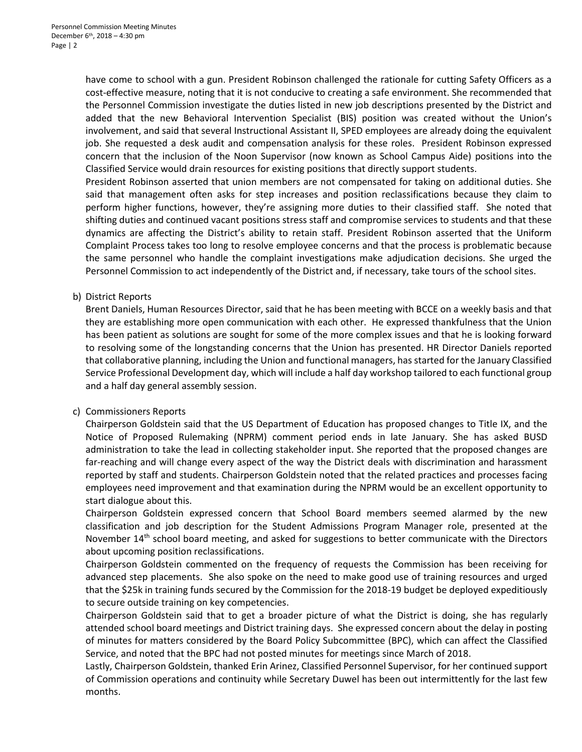have come to school with a gun. President Robinson challenged the rationale for cutting Safety Officers as a cost-effective measure, noting that it is not conducive to creating a safe environment. She recommended that the Personnel Commission investigate the duties listed in new job descriptions presented by the District and added that the new Behavioral Intervention Specialist (BIS) position was created without the Union's involvement, and said that several Instructional Assistant II, SPED employees are already doing the equivalent job. She requested a desk audit and compensation analysis for these roles. President Robinson expressed concern that the inclusion of the Noon Supervisor (now known as School Campus Aide) positions into the Classified Service would drain resources for existing positions that directly support students.

President Robinson asserted that union members are not compensated for taking on additional duties. She said that management often asks for step increases and position reclassifications because they claim to perform higher functions, however, they're assigning more duties to their classified staff. She noted that shifting duties and continued vacant positions stress staff and compromise services to students and that these dynamics are affecting the District's ability to retain staff. President Robinson asserted that the Uniform Complaint Process takes too long to resolve employee concerns and that the process is problematic because the same personnel who handle the complaint investigations make adjudication decisions. She urged the Personnel Commission to act independently of the District and, if necessary, take tours of the school sites.

## b) District Reports

Brent Daniels, Human Resources Director, said that he has been meeting with BCCE on a weekly basis and that they are establishing more open communication with each other. He expressed thankfulness that the Union has been patient as solutions are sought for some of the more complex issues and that he is looking forward to resolving some of the longstanding concerns that the Union has presented. HR Director Daniels reported that collaborative planning, including the Union and functional managers, has started for the January Classified Service Professional Development day, which will include a half day workshop tailored to each functional group and a half day general assembly session.

## c) Commissioners Reports

Chairperson Goldstein said that the US Department of Education has proposed changes to Title IX, and the Notice of Proposed Rulemaking (NPRM) comment period ends in late January. She has asked BUSD administration to take the lead in collecting stakeholder input. She reported that the proposed changes are far-reaching and will change every aspect of the way the District deals with discrimination and harassment reported by staff and students. Chairperson Goldstein noted that the related practices and processes facing employees need improvement and that examination during the NPRM would be an excellent opportunity to start dialogue about this.

Chairperson Goldstein expressed concern that School Board members seemed alarmed by the new classification and job description for the Student Admissions Program Manager role, presented at the November 14<sup>th</sup> school board meeting, and asked for suggestions to better communicate with the Directors about upcoming position reclassifications.

Chairperson Goldstein commented on the frequency of requests the Commission has been receiving for advanced step placements. She also spoke on the need to make good use of training resources and urged that the \$25k in training funds secured by the Commission for the 2018-19 budget be deployed expeditiously to secure outside training on key competencies.

Chairperson Goldstein said that to get a broader picture of what the District is doing, she has regularly attended school board meetings and District training days. She expressed concern about the delay in posting of minutes for matters considered by the Board Policy Subcommittee (BPC), which can affect the Classified Service, and noted that the BPC had not posted minutes for meetings since March of 2018.

Lastly, Chairperson Goldstein, thanked Erin Arinez, Classified Personnel Supervisor, for her continued support of Commission operations and continuity while Secretary Duwel has been out intermittently for the last few months.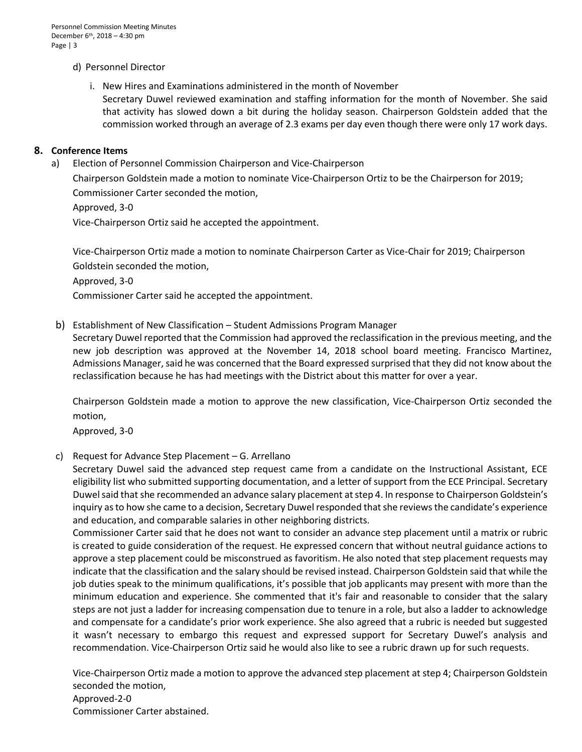Personnel Commission Meeting Minutes December 6<sup>th</sup>, 2018 - 4:30 pm Page | 3

## d) Personnel Director

i. New Hires and Examinations administered in the month of November Secretary Duwel reviewed examination and staffing information for the month of November. She said that activity has slowed down a bit during the holiday season. Chairperson Goldstein added that the commission worked through an average of 2.3 exams per day even though there were only 17 work days.

#### **8. Conference Items**

a) Election of Personnel Commission Chairperson and Vice-Chairperson

Chairperson Goldstein made a motion to nominate Vice-Chairperson Ortiz to be the Chairperson for 2019; Commissioner Carter seconded the motion,

Approved, 3-0

Vice-Chairperson Ortiz said he accepted the appointment.

Vice-Chairperson Ortiz made a motion to nominate Chairperson Carter as Vice-Chair for 2019; Chairperson Goldstein seconded the motion,

Approved, 3-0

Commissioner Carter said he accepted the appointment.

b) Establishment of New Classification – Student Admissions Program Manager

Secretary Duwel reported that the Commission had approved the reclassification in the previous meeting, and the new job description was approved at the November 14, 2018 school board meeting. Francisco Martinez, Admissions Manager, said he was concerned that the Board expressed surprised that they did not know about the reclassification because he has had meetings with the District about this matter for over a year.

 Chairperson Goldstein made a motion to approve the new classification, Vice-Chairperson Ortiz seconded the motion,

Approved, 3-0

## c) Request for Advance Step Placement – G. Arrellano

Secretary Duwel said the advanced step request came from a candidate on the Instructional Assistant, ECE eligibility list who submitted supporting documentation, and a letter of support from the ECE Principal. Secretary Duwel said that she recommended an advance salary placement at step 4. In response to Chairperson Goldstein's inquiry as to how she came to a decision, Secretary Duwel responded that she reviewsthe candidate's experience and education, and comparable salaries in other neighboring districts.

Commissioner Carter said that he does not want to consider an advance step placement until a matrix or rubric is created to guide consideration of the request. He expressed concern that without neutral guidance actions to approve a step placement could be misconstrued as favoritism. He also noted that step placement requests may indicate that the classification and the salary should be revised instead. Chairperson Goldstein said that while the job duties speak to the minimum qualifications, it's possible that job applicants may present with more than the minimum education and experience. She commented that it's fair and reasonable to consider that the salary steps are not just a ladder for increasing compensation due to tenure in a role, but also a ladder to acknowledge and compensate for a candidate's prior work experience. She also agreed that a rubric is needed but suggested it wasn't necessary to embargo this request and expressed support for Secretary Duwel's analysis and recommendation. Vice-Chairperson Ortiz said he would also like to see a rubric drawn up for such requests.

Vice-Chairperson Ortiz made a motion to approve the advanced step placement at step 4; Chairperson Goldstein seconded the motion, Approved-2-0 Commissioner Carter abstained.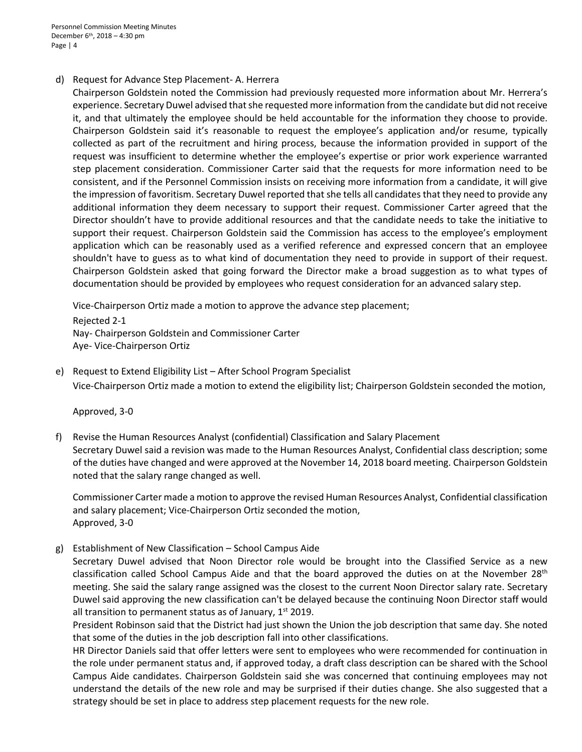Personnel Commission Meeting Minutes December 6th, 2018 – 4:30 pm Page | 4

#### d) Request for Advance Step Placement- A. Herrera

Chairperson Goldstein noted the Commission had previously requested more information about Mr. Herrera's experience. Secretary Duwel advised that she requested more information from the candidate but did not receive it, and that ultimately the employee should be held accountable for the information they choose to provide. Chairperson Goldstein said it's reasonable to request the employee's application and/or resume, typically collected as part of the recruitment and hiring process, because the information provided in support of the request was insufficient to determine whether the employee's expertise or prior work experience warranted step placement consideration. Commissioner Carter said that the requests for more information need to be consistent, and if the Personnel Commission insists on receiving more information from a candidate, it will give the impression of favoritism. Secretary Duwel reported that she tells all candidates that they need to provide any additional information they deem necessary to support their request. Commissioner Carter agreed that the Director shouldn't have to provide additional resources and that the candidate needs to take the initiative to support their request. Chairperson Goldstein said the Commission has access to the employee's employment application which can be reasonably used as a verified reference and expressed concern that an employee shouldn't have to guess as to what kind of documentation they need to provide in support of their request. Chairperson Goldstein asked that going forward the Director make a broad suggestion as to what types of documentation should be provided by employees who request consideration for an advanced salary step.

Vice-Chairperson Ortiz made a motion to approve the advance step placement;

Rejected 2-1 Nay- Chairperson Goldstein and Commissioner Carter Aye- Vice-Chairperson Ortiz

e) Request to Extend Eligibility List – After School Program Specialist Vice-Chairperson Ortiz made a motion to extend the eligibility list; Chairperson Goldstein seconded the motion,

Approved, 3-0

f) Revise the Human Resources Analyst (confidential) Classification and Salary Placement Secretary Duwel said a revision was made to the Human Resources Analyst, Confidential class description; some of the duties have changed and were approved at the November 14, 2018 board meeting. Chairperson Goldstein noted that the salary range changed as well.

Commissioner Carter made a motion to approve the revised Human Resources Analyst, Confidential classification and salary placement; Vice-Chairperson Ortiz seconded the motion, Approved, 3-0

g) Establishment of New Classification – School Campus Aide

Secretary Duwel advised that Noon Director role would be brought into the Classified Service as a new classification called School Campus Aide and that the board approved the duties on at the November 28<sup>th</sup> meeting. She said the salary range assigned was the closest to the current Noon Director salary rate. Secretary Duwel said approving the new classification can't be delayed because the continuing Noon Director staff would all transition to permanent status as of January,  $1<sup>st</sup>$  2019.

President Robinson said that the District had just shown the Union the job description that same day. She noted that some of the duties in the job description fall into other classifications.

HR Director Daniels said that offer letters were sent to employees who were recommended for continuation in the role under permanent status and, if approved today, a draft class description can be shared with the School Campus Aide candidates. Chairperson Goldstein said she was concerned that continuing employees may not understand the details of the new role and may be surprised if their duties change. She also suggested that a strategy should be set in place to address step placement requests for the new role.